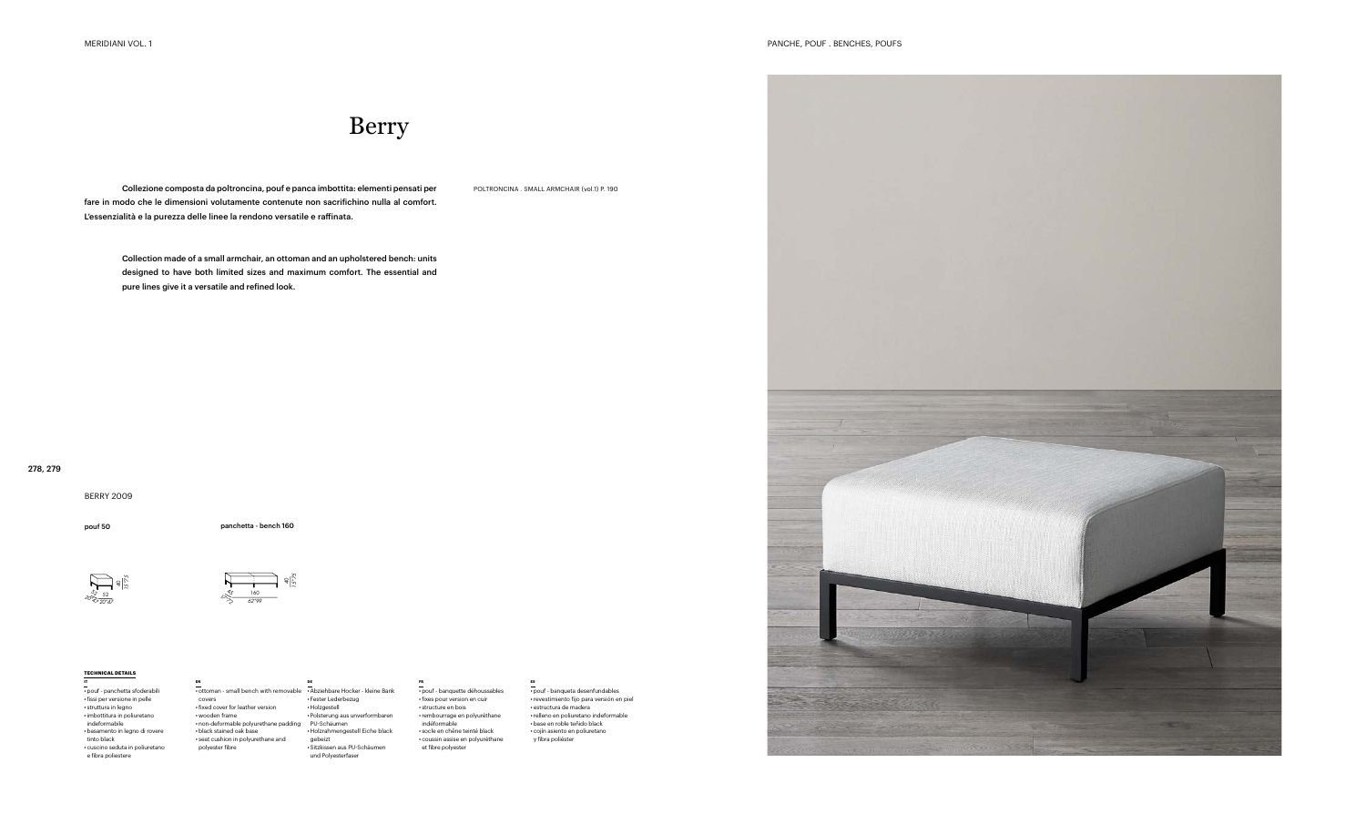Collezione composta da poltroncina, pouf e panca imbottita: elementi pensati per POLTRONCINA . SMALL ARMCHAIR (vol.1) P. 190 fare in modo che le dimensioni volutamente contenute non sacrifichino nulla al comfort. L'essenzialità e la purezza delle linee la rendono versatile e raffinata.

Collection made of a small armchair, an ottoman and an upholstered bench: units designed to have both limited sizes and maximum comfort. The essential and pure lines give it a versatile and refined look.

BERRY 2009

## Berry

pouf 50 panchetta - bench 160



*15"75*



## **TECHNICAL DETAILS**

**IT** • pouf - panchetta sfoderabili •fissi per versione in pelle • struttura in legno •imbottitura in poliuretano indeformabile • basamento in legno di rovere tinto black • cuscino seduta in poliuretano e fibra poliestere

**EN**

• ottoman - small bench with removable •Abziehbare Hocker - kleine Bank covers •fixed cover for leather version • wooden frame • non-deformable polyurethane padding • black stained oak base • seat cushion in polyurethane and polyester fibre **DE**

• Fester Lederbezug • Holzgestell • Polsterung aus unverformbaren PU-Schäumen • Holzrahmengestell Eiche black gebeizt • Sitzkissen aus PU-Schäumen und Polyesterfaser

**FR**

• pouf - banquette déhoussables •fixes pour version en cuir • structure en bois •rembourrage en polyuréthane indéformable • socle en chêne teinté black • coussin assise en polyuréthane et fibre polyester

**ES**





• pouf - banqueta desenfundables •revestimiento fijo para versión en piel • estructura de madera •relleno en poliuretano indeformable • base en roble teñido black • cojín asiento en poliuretano y fibra poliéster

## 278, 279